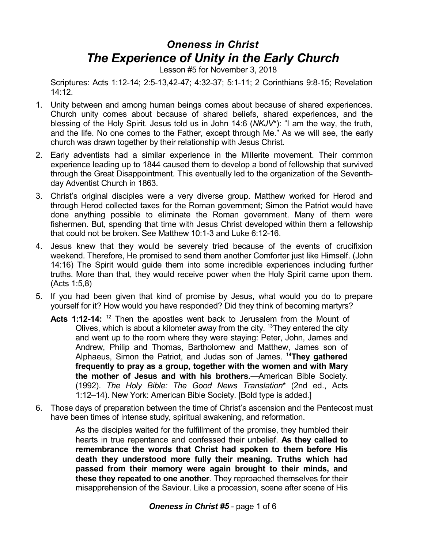## *Oneness in Christ The Experience of Unity in the Early Church*

Lesson #5 for November 3, 2018

Scriptures: Acts 1:12-14; 2:5-13,42-47; 4:32-37; 5:1-11; 2 Corinthians 9:8-15; Revelation 14:12.

- 1. Unity between and among human beings comes about because of shared experiences. Church unity comes about because of shared beliefs, shared experiences, and the blessing of the Holy Spirit. Jesus told us in John 14:6 (*NKJV*\*): "I am the way, the truth, and the life. No one comes to the Father, except through Me." As we will see, the early church was drawn together by their relationship with Jesus Christ.
- 2. Early adventists had a similar experience in the Millerite movement. Their common experience leading up to 1844 caused them to develop a bond of fellowship that survived through the Great Disappointment. This eventually led to the organization of the Seventhday Adventist Church in 1863.
- 3. Christ's original disciples were a very diverse group. Matthew worked for Herod and through Herod collected taxes for the Roman government; Simon the Patriot would have done anything possible to eliminate the Roman government. Many of them were fishermen. But, spending that time with Jesus Christ developed within them a fellowship that could not be broken. See Matthew 10:1-3 and Luke 6:12-16.
- 4. Jesus knew that they would be severely tried because of the events of crucifixion weekend. Therefore, He promised to send them another Comforter just like Himself. (John 14:16) The Spirit would guide them into some incredible experiences including further truths. More than that, they would receive power when the Holy Spirit came upon them. (Acts 1:5,8)
- 5. If you had been given that kind of promise by Jesus, what would you do to prepare yourself for it? How would you have responded? Did they think of becoming martyrs?
	- Acts 1:12-14: <sup>12</sup> Then the apostles went back to Jerusalem from the Mount of Olives, which is about a kilometer away from the city. <sup>13</sup>They entered the city and went up to the room where they were staying: Peter, John, James and Andrew, Philip and Thomas, Bartholomew and Matthew, James son of Alphaeus, Simon the Patriot, and Judas son of James. **<sup>14</sup>They gathered frequently to pray as a group, together with the women and with Mary the mother of Jesus and with his brothers.**—American Bible Society. (1992). *The Holy Bible: The Good News Translation*\* (2nd ed., Acts 1:12–14). New York: American Bible Society. [Bold type is added.]
- 6. Those days of preparation between the time of Christ's ascension and the Pentecost must have been times of intense study, spiritual awakening, and reformation.

As the disciples waited for the fulfillment of the promise, they humbled their hearts in true repentance and confessed their unbelief. **As they called to remembrance the words that Christ had spoken to them before His death they understood more fully their meaning. Truths which had passed from their memory were again brought to their minds, and these they repeated to one another**. They reproached themselves for their misapprehension of the Saviour. Like a procession, scene after scene of His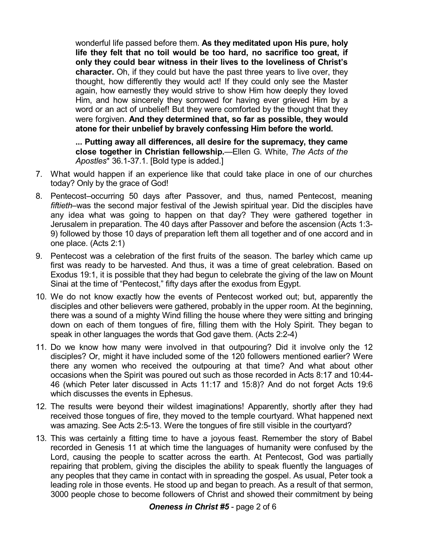wonderful life passed before them. **As they meditated upon His pure, holy life they felt that no toil would be too hard, no sacrifice too great, if only they could bear witness in their lives to the loveliness of Christ's character.** Oh, if they could but have the past three years to live over, they thought, how differently they would act! If they could only see the Master again, how earnestly they would strive to show Him how deeply they loved Him, and how sincerely they sorrowed for having ever grieved Him by a word or an act of unbelief! But they were comforted by the thought that they were forgiven. **And they determined that, so far as possible, they would atone for their unbelief by bravely confessing Him before the world.**

**... Putting away all differences, all desire for the supremacy, they came close together in Christian fellowship.**—Ellen G. White, *The Acts of the Apostles*\* 36.1-37.1. [Bold type is added.]

- 7. What would happen if an experience like that could take place in one of our churches today? Only by the grace of God!
- 8. Pentecost–occurring 50 days after Passover, and thus, named Pentecost, meaning *fiftieth*–was the second major festival of the Jewish spiritual year. Did the disciples have any idea what was going to happen on that day? They were gathered together in Jerusalem in preparation. The 40 days after Passover and before the ascension (Acts 1:3- 9) followed by those 10 days of preparation left them all together and of one accord and in one place. (Acts 2:1)
- 9. Pentecost was a celebration of the first fruits of the season. The barley which came up first was ready to be harvested. And thus, it was a time of great celebration. Based on Exodus 19:1, it is possible that they had begun to celebrate the giving of the law on Mount Sinai at the time of "Pentecost," fifty days after the exodus from Egypt.
- 10. We do not know exactly how the events of Pentecost worked out; but, apparently the disciples and other believers were gathered, probably in the upper room. At the beginning, there was a sound of a mighty Wind filling the house where they were sitting and bringing down on each of them tongues of fire, filling them with the Holy Spirit. They began to speak in other languages the words that God gave them. (Acts 2:2-4)
- 11. Do we know how many were involved in that outpouring? Did it involve only the 12 disciples? Or, might it have included some of the 120 followers mentioned earlier? Were there any women who received the outpouring at that time? And what about other occasions when the Spirit was poured out such as those recorded in Acts 8:17 and 10:44- 46 (which Peter later discussed in Acts 11:17 and 15:8)? And do not forget Acts 19:6 which discusses the events in Ephesus.
- 12. The results were beyond their wildest imaginations! Apparently, shortly after they had received those tongues of fire, they moved to the temple courtyard. What happened next was amazing. See Acts 2:5-13. Were the tongues of fire still visible in the courtyard?
- 13. This was certainly a fitting time to have a joyous feast. Remember the story of Babel recorded in Genesis 11 at which time the languages of humanity were confused by the Lord, causing the people to scatter across the earth. At Pentecost, God was partially repairing that problem, giving the disciples the ability to speak fluently the languages of any peoples that they came in contact with in spreading the gospel. As usual, Peter took a leading role in those events. He stood up and began to preach. As a result of that sermon, 3000 people chose to become followers of Christ and showed their commitment by being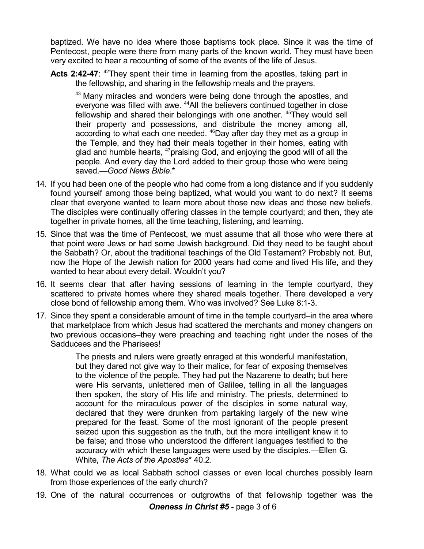baptized. We have no idea where those baptisms took place. Since it was the time of Pentecost, people were there from many parts of the known world. They must have been very excited to hear a recounting of some of the events of the life of Jesus.

Acts 2:42-47: <sup>42</sup>They spent their time in learning from the apostles, taking part in the fellowship, and sharing in the fellowship meals and the prayers.

<sup>43</sup> Many miracles and wonders were being done through the apostles, and everyone was filled with awe. <sup>44</sup>All the believers continued together in close fellowship and shared their belongings with one another. <sup>45</sup>They would sell their property and possessions, and distribute the money among all, according to what each one needed. <sup>46</sup>Day after day they met as a group in the Temple, and they had their meals together in their homes, eating with glad and humble hearts, <sup>47</sup>praising God, and enjoying the good will of all the people. And every day the Lord added to their group those who were being saved.—*Good News Bible*.\*

- 14. If you had been one of the people who had come from a long distance and if you suddenly found yourself among those being baptized, what would you want to do next? It seems clear that everyone wanted to learn more about those new ideas and those new beliefs. The disciples were continually offering classes in the temple courtyard; and then, they ate together in private homes, all the time teaching, listening, and learning.
- 15. Since that was the time of Pentecost, we must assume that all those who were there at that point were Jews or had some Jewish background. Did they need to be taught about the Sabbath? Or, about the traditional teachings of the Old Testament? Probably not. But, now the Hope of the Jewish nation for 2000 years had come and lived His life, and they wanted to hear about every detail. Wouldn't you?
- 16. It seems clear that after having sessions of learning in the temple courtyard, they scattered to private homes where they shared meals together. There developed a very close bond of fellowship among them. Who was involved? See Luke 8:1-3.
- 17. Since they spent a considerable amount of time in the temple courtyard–in the area where that marketplace from which Jesus had scattered the merchants and money changers on two previous occasions–they were preaching and teaching right under the noses of the Sadducees and the Pharisees!

The priests and rulers were greatly enraged at this wonderful manifestation, but they dared not give way to their malice, for fear of exposing themselves to the violence of the people. They had put the Nazarene to death; but here were His servants, unlettered men of Galilee, telling in all the languages then spoken, the story of His life and ministry. The priests, determined to account for the miraculous power of the disciples in some natural way, declared that they were drunken from partaking largely of the new wine prepared for the feast. Some of the most ignorant of the people present seized upon this suggestion as the truth, but the more intelligent knew it to be false; and those who understood the different languages testified to the accuracy with which these languages were used by the disciples.—Ellen G. White, *The Acts of the Apostles*\* 40.2.

- 18. What could we as local Sabbath school classes or even local churches possibly learn from those experiences of the early church?
- 19. One of the natural occurrences or outgrowths of that fellowship together was the *Oneness in Christ #5* - page 3 of 6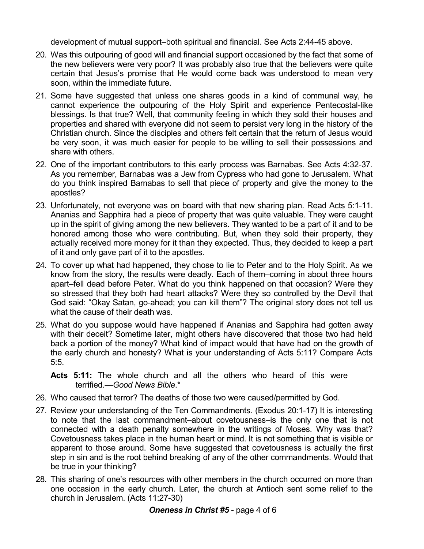development of mutual support–both spiritual and financial. See Acts 2:44-45 above.

- 20. Was this outpouring of good will and financial support occasioned by the fact that some of the new believers were very poor? It was probably also true that the believers were quite certain that Jesus's promise that He would come back was understood to mean very soon, within the immediate future.
- 21. Some have suggested that unless one shares goods in a kind of communal way, he cannot experience the outpouring of the Holy Spirit and experience Pentecostal-like blessings. Is that true? Well, that community feeling in which they sold their houses and properties and shared with everyone did not seem to persist very long in the history of the Christian church. Since the disciples and others felt certain that the return of Jesus would be very soon, it was much easier for people to be willing to sell their possessions and share with others.
- 22. One of the important contributors to this early process was Barnabas. See Acts 4:32-37. As you remember, Barnabas was a Jew from Cypress who had gone to Jerusalem. What do you think inspired Barnabas to sell that piece of property and give the money to the apostles?
- 23. Unfortunately, not everyone was on board with that new sharing plan. Read Acts 5:1-11. Ananias and Sapphira had a piece of property that was quite valuable. They were caught up in the spirit of giving among the new believers. They wanted to be a part of it and to be honored among those who were contributing. But, when they sold their property, they actually received more money for it than they expected. Thus, they decided to keep a part of it and only gave part of it to the apostles.
- 24. To cover up what had happened, they chose to lie to Peter and to the Holy Spirit. As we know from the story, the results were deadly. Each of them–coming in about three hours apart–fell dead before Peter. What do you think happened on that occasion? Were they so stressed that they both had heart attacks? Were they so controlled by the Devil that God said: "Okay Satan, go-ahead; you can kill them"? The original story does not tell us what the cause of their death was.
- 25. What do you suppose would have happened if Ananias and Sapphira had gotten away with their deceit? Sometime later, might others have discovered that those two had held back a portion of the money? What kind of impact would that have had on the growth of the early church and honesty? What is your understanding of Acts 5:11? Compare Acts 5:5.
	- **Acts 5:11:** The whole church and all the others who heard of this were terrified.—*Good News Bible*.\*
- 26. Who caused that terror? The deaths of those two were caused/permitted by God.
- 27. Review your understanding of the Ten Commandments. (Exodus 20:1-17) It is interesting to note that the last commandment–about covetousness–is the only one that is not connected with a death penalty somewhere in the writings of Moses. Why was that? Covetousness takes place in the human heart or mind. It is not something that is visible or apparent to those around. Some have suggested that covetousness is actually the first step in sin and is the root behind breaking of any of the other commandments. Would that be true in your thinking?
- 28. This sharing of one's resources with other members in the church occurred on more than one occasion in the early church. Later, the church at Antioch sent some relief to the church in Jerusalem. (Acts 11:27-30)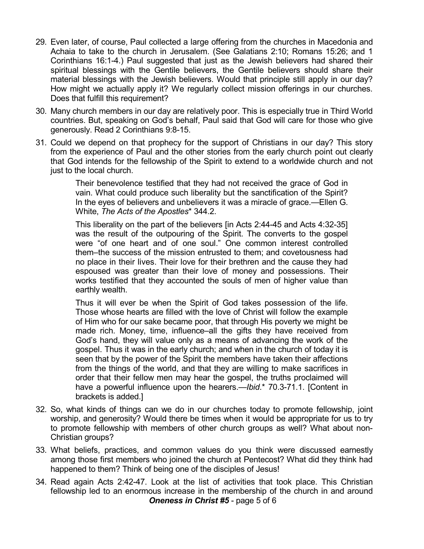- 29. Even later, of course, Paul collected a large offering from the churches in Macedonia and Achaia to take to the church in Jerusalem. (See Galatians 2:10; Romans 15:26; and 1 Corinthians 16:1-4.) Paul suggested that just as the Jewish believers had shared their spiritual blessings with the Gentile believers, the Gentile believers should share their material blessings with the Jewish believers. Would that principle still apply in our day? How might we actually apply it? We regularly collect mission offerings in our churches. Does that fulfill this requirement?
- 30. Many church members in our day are relatively poor. This is especially true in Third World countries. But, speaking on God's behalf, Paul said that God will care for those who give generously. Read 2 Corinthians 9:8-15.
- 31. Could we depend on that prophecy for the support of Christians in our day? This story from the experience of Paul and the other stories from the early church point out clearly that God intends for the fellowship of the Spirit to extend to a worldwide church and not just to the local church.

Their benevolence testified that they had not received the grace of God in vain. What could produce such liberality but the sanctification of the Spirit? In the eyes of believers and unbelievers it was a miracle of grace.—Ellen G. White, *The Acts of the Apostles*\* 344.2.

This liberality on the part of the believers [in Acts 2:44-45 and Acts 4:32-35] was the result of the outpouring of the Spirit. The converts to the gospel were "of one heart and of one soul." One common interest controlled them–the success of the mission entrusted to them; and covetousness had no place in their lives. Their love for their brethren and the cause they had espoused was greater than their love of money and possessions. Their works testified that they accounted the souls of men of higher value than earthly wealth.

Thus it will ever be when the Spirit of God takes possession of the life. Those whose hearts are filled with the love of Christ will follow the example of Him who for our sake became poor, that through His poverty we might be made rich. Money, time, influence–all the gifts they have received from God's hand, they will value only as a means of advancing the work of the gospel. Thus it was in the early church; and when in the church of today it is seen that by the power of the Spirit the members have taken their affections from the things of the world, and that they are willing to make sacrifices in order that their fellow men may hear the gospel, the truths proclaimed will have a powerful influence upon the hearers.—*Ibid*.\* 70.3-71.1. [Content in brackets is added.]

- 32. So, what kinds of things can we do in our churches today to promote fellowship, joint worship, and generosity? Would there be times when it would be appropriate for us to try to promote fellowship with members of other church groups as well? What about non-Christian groups?
- 33. What beliefs, practices, and common values do you think were discussed earnestly among those first members who joined the church at Pentecost? What did they think had happened to them? Think of being one of the disciples of Jesus!
- 34. Read again Acts 2:42-47. Look at the list of activities that took place. This Christian fellowship led to an enormous increase in the membership of the church in and around *Oneness in Christ #5* - page 5 of 6